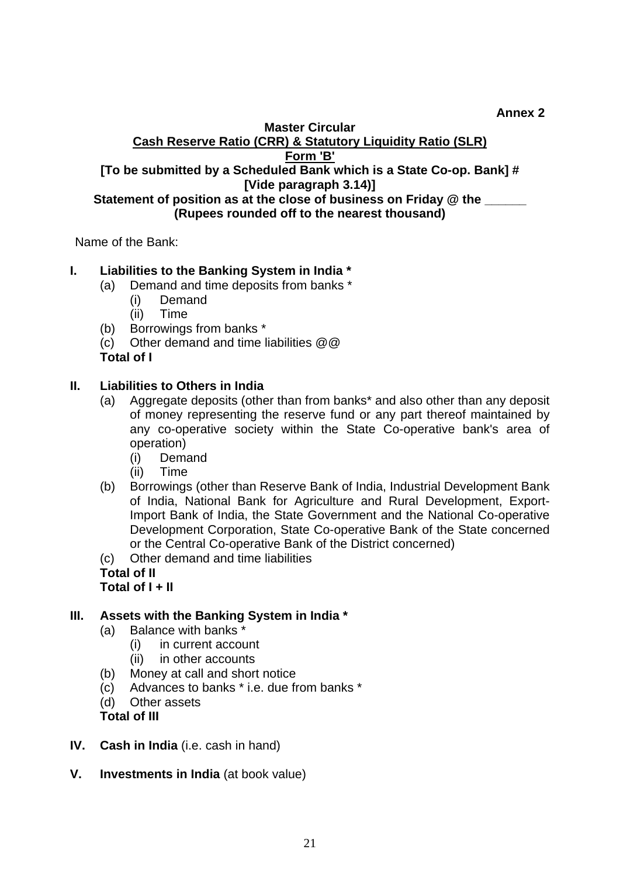**Annex 2** 

#### **Master Circular Cash Reserve Ratio (CRR) & Statutory Liquidity Ratio (SLR) Form 'B' [To be submitted by a Scheduled Bank which is a State Co-op. Bank] # [Vide paragraph 3.14)] Statement of position as at the close of business on Friday @ the \_\_\_\_\_\_ (Rupees rounded off to the nearest thousand)**

Name of the Bank:

## **I. Liabilities to the Banking System in India \***

- (a) Demand and time deposits from banks \*
	- (i) Demand
	- (ii) Time
- (b) Borrowings from banks \*
- (c) Other demand and time liabilities @@

# **Total of I**

## **II. Liabilities to Others in India**

- (a) Aggregate deposits (other than from banks\* and also other than any deposit of money representing the reserve fund or any part thereof maintained by any co-operative society within the State Co-operative bank's area of operation)
	- (i) Demand
	- (ii) Time
- (b) Borrowings (other than Reserve Bank of India, Industrial Development Bank of India, National Bank for Agriculture and Rural Development, Export-Import Bank of India, the State Government and the National Co-operative Development Corporation, State Co-operative Bank of the State concerned or the Central Co-operative Bank of the District concerned)

(c) Other demand and time liabilities

**Total of II Total of I + II** 

## **III. Assets with the Banking System in India \***

- (a) Balance with banks \*
	- (i) in current account
	- (ii) in other accounts
- (b) Money at call and short notice
- (c) Advances to banks \* i.e. due from banks \*
- (d) Other assets

**Total of III** 

- **IV. Cash in India** (i.e. cash in hand)
- **V. Investments in India** (at book value)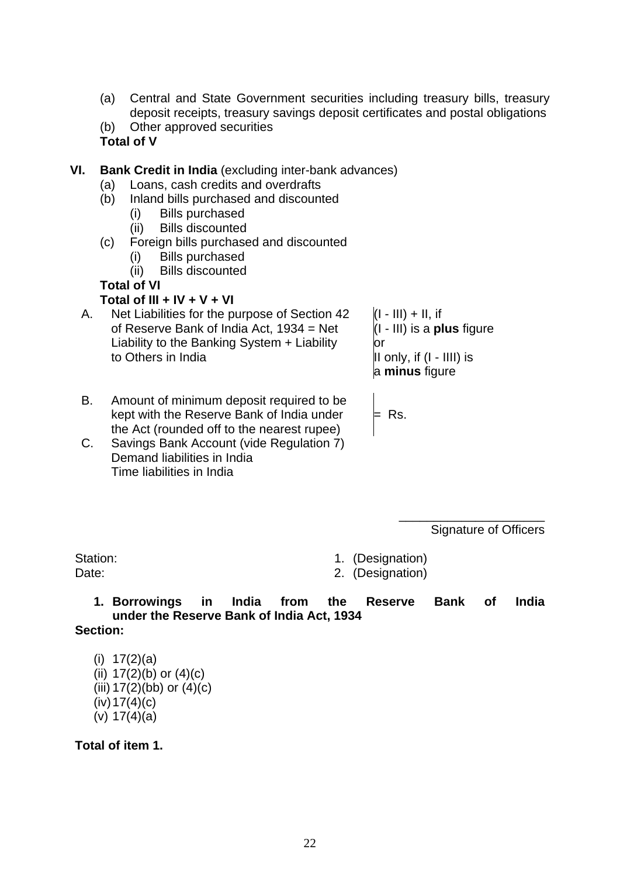- (a) Central and State Government securities including treasury bills, treasury deposit receipts, treasury savings deposit certificates and postal obligations
- (b) Other approved securities

#### **Total of V**

- **VI. Bank Credit in India** (excluding inter-bank advances)
	- (a) Loans, cash credits and overdrafts
	- (b) Inland bills purchased and discounted
		- (i) Bills purchased
		- (ii) Bills discounted
	- (c) Foreign bills purchased and discounted
		- (i) Bills purchased
		- (ii) Bills discounted

## **Total of VI**

### **Total of III + IV + V + VI**

A. of Reserve Bank of India Act, 1934 = Net Net Liabilities for the purpose of Section 42 Liability to the Banking System + Liability to Others in India

 $(I - III) + II$ , if r o (I - III) is a **plus** figure II only, if (I - IIII) is a **minus** figure

- B. kept with the Reserve Bank of India under the Act (rounded off to the nearest rupee) Amount of minimum deposit required to be
- C. Savings Bank Account (vide Regulation 7) Demand liabilities in India Time liabilities in India

Signature of Officers

\_\_\_\_\_\_\_\_\_\_\_\_\_\_\_\_\_\_\_\_\_

Station: 1. (Designation)

 $=$  Rs.

Date: 2. (Designation)

**1. Borrowings in India from the Reserve Bank of India under the Reserve Bank of India Act, 1934 Section:** 

(i) 17(2)(a) (ii)  $17(2)(b)$  or  $(4)(c)$ (iii)  $17(2)$ (bb) or  $(4)$ (c)  $(iv)$  17(4)(c) (v) 17(4)(a)

**Total of item 1.**